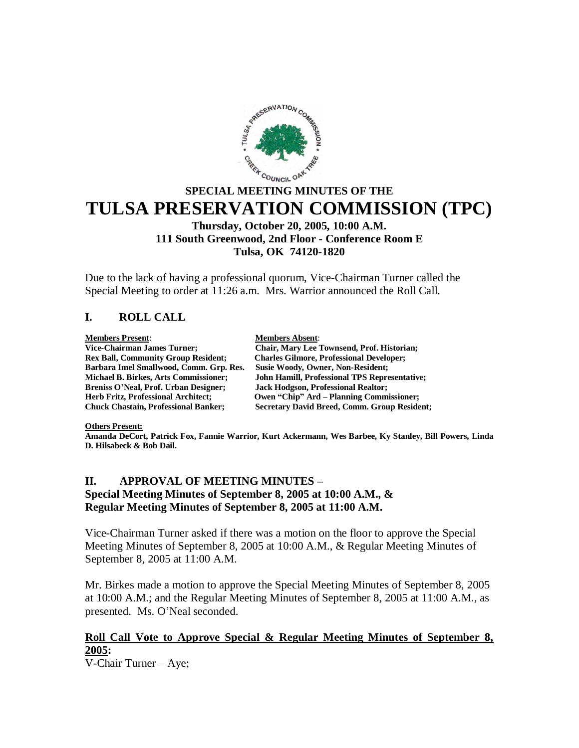

# **SPECIAL MEETING MINUTES OF THE TULSA PRESERVATION COMMISSION (TPC)**

### **Thursday, October 20, 2005, 10:00 A.M. 111 South Greenwood, 2nd Floor - Conference Room E Tulsa, OK 74120-1820**

Due to the lack of having a professional quorum, Vice-Chairman Turner called the Special Meeting to order at 11:26 a.m. Mrs. Warrior announced the Roll Call.

### **I. ROLL CALL**

**Members Present:**<br> **Members Absent:**<br> **Members Absent:**<br> **Members Absent:**<br> **Members Absent: Barbara Imel Smallwood, Comm. Grp. Res. Susie Woody, Owner, Non-Resident; Breniss O'Neal, Prof. Urban Designer; Jack Hodgson, Professional Realtor;**

**Vice-Chairman James Turner; Chair, Mary Lee Townsend, Prof. Historian; <br>
Rex Ball, Community Group Resident; Charles Gilmore, Professional Developer; Charles Gilmore, Professional Developer; Michael B. Birkes, Arts Commissioner; John Hamill, Professional TPS Representative; Owen "Chip" Ard – Planning Commissioner: Chuck Chastain, Professional Banker; Secretary David Breed, Comm. Group Resident;**

### **Others Present:**

**Amanda DeCort, Patrick Fox, Fannie Warrior, Kurt Ackermann, Wes Barbee, Ky Stanley, Bill Powers, Linda D. Hilsabeck & Bob Dail.**

### **II. APPROVAL OF MEETING MINUTES – Special Meeting Minutes of September 8, 2005 at 10:00 A.M., & Regular Meeting Minutes of September 8, 2005 at 11:00 A.M.**

Vice-Chairman Turner asked if there was a motion on the floor to approve the Special Meeting Minutes of September 8, 2005 at 10:00 A.M., & Regular Meeting Minutes of September 8, 2005 at 11:00 A.M.

Mr. Birkes made a motion to approve the Special Meeting Minutes of September 8, 2005 at 10:00 A.M.; and the Regular Meeting Minutes of September 8, 2005 at 11:00 A.M., as presented. Ms. O'Neal seconded.

### **Roll Call Vote to Approve Special & Regular Meeting Minutes of September 8, 2005:**

V-Chair Turner – Aye;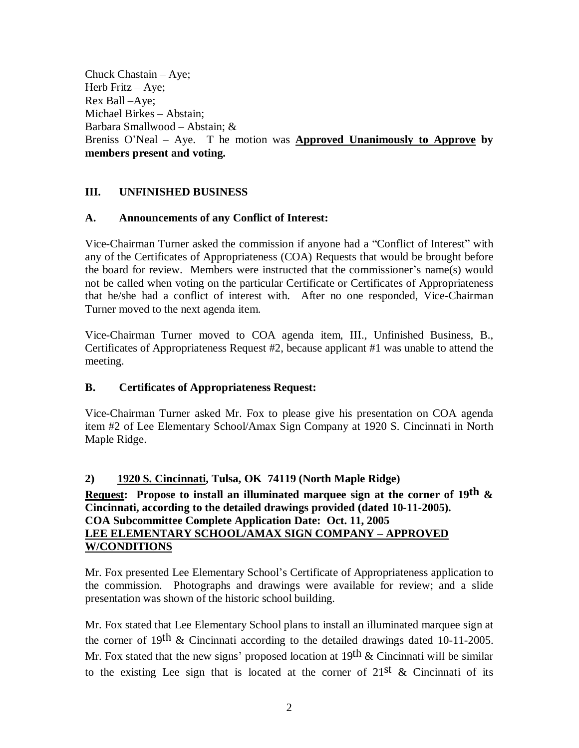Chuck Chastain – Aye; Herb Fritz – Aye; Rex Ball –Aye; Michael Birkes – Abstain; Barbara Smallwood – Abstain; & Breniss O'Neal – Aye. T he motion was **Approved Unanimously to Approve by members present and voting.**

### **III. UNFINISHED BUSINESS**

### **A. Announcements of any Conflict of Interest:**

Vice-Chairman Turner asked the commission if anyone had a "Conflict of Interest" with any of the Certificates of Appropriateness (COA) Requests that would be brought before the board for review. Members were instructed that the commissioner's name(s) would not be called when voting on the particular Certificate or Certificates of Appropriateness that he/she had a conflict of interest with. After no one responded, Vice-Chairman Turner moved to the next agenda item.

Vice-Chairman Turner moved to COA agenda item, III., Unfinished Business, B., Certificates of Appropriateness Request #2, because applicant #1 was unable to attend the meeting.

### **B. Certificates of Appropriateness Request:**

Vice-Chairman Turner asked Mr. Fox to please give his presentation on COA agenda item #2 of Lee Elementary School/Amax Sign Company at 1920 S. Cincinnati in North Maple Ridge.

### **2) 1920 S. Cincinnati, Tulsa, OK 74119 (North Maple Ridge)**

### **Request: Propose to install an illuminated marquee sign at the corner of 19th & Cincinnati, according to the detailed drawings provided (dated 10-11-2005). COA Subcommittee Complete Application Date: Oct. 11, 2005 LEE ELEMENTARY SCHOOL/AMAX SIGN COMPANY – APPROVED W/CONDITIONS**

Mr. Fox presented Lee Elementary School's Certificate of Appropriateness application to the commission. Photographs and drawings were available for review; and a slide presentation was shown of the historic school building.

Mr. Fox stated that Lee Elementary School plans to install an illuminated marquee sign at the corner of 19<sup>th</sup> & Cincinnati according to the detailed drawings dated 10-11-2005. Mr. Fox stated that the new signs' proposed location at 19<sup>th</sup> & Cincinnati will be similar to the existing Lee sign that is located at the corner of  $21^{st}$  & Cincinnati of its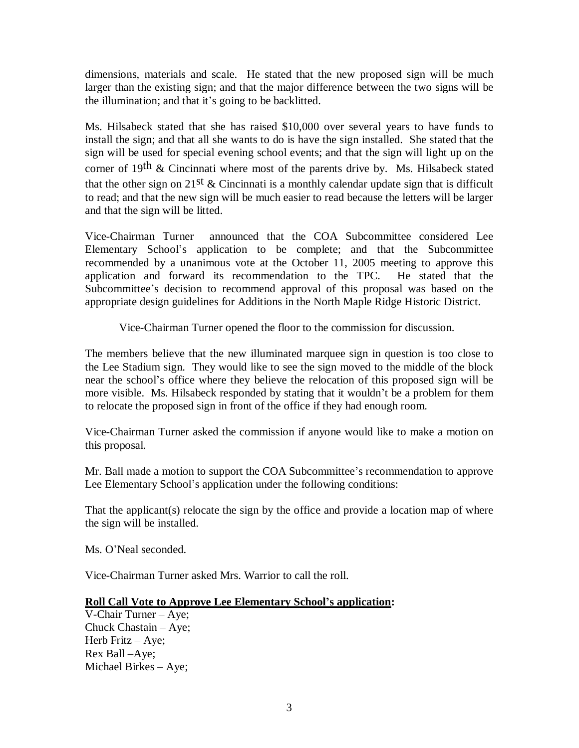dimensions, materials and scale. He stated that the new proposed sign will be much larger than the existing sign; and that the major difference between the two signs will be the illumination; and that it's going to be backlitted.

Ms. Hilsabeck stated that she has raised \$10,000 over several years to have funds to install the sign; and that all she wants to do is have the sign installed. She stated that the sign will be used for special evening school events; and that the sign will light up on the corner of 19<sup>th</sup> & Cincinnati where most of the parents drive by. Ms. Hilsabeck stated that the other sign on  $21^{st}$  & Cincinnati is a monthly calendar update sign that is difficult to read; and that the new sign will be much easier to read because the letters will be larger and that the sign will be litted.

Vice-Chairman Turner announced that the COA Subcommittee considered Lee Elementary School's application to be complete; and that the Subcommittee recommended by a unanimous vote at the October 11, 2005 meeting to approve this application and forward its recommendation to the TPC. He stated that the Subcommittee's decision to recommend approval of this proposal was based on the appropriate design guidelines for Additions in the North Maple Ridge Historic District.

Vice-Chairman Turner opened the floor to the commission for discussion.

The members believe that the new illuminated marquee sign in question is too close to the Lee Stadium sign. They would like to see the sign moved to the middle of the block near the school's office where they believe the relocation of this proposed sign will be more visible. Ms. Hilsabeck responded by stating that it wouldn't be a problem for them to relocate the proposed sign in front of the office if they had enough room.

Vice-Chairman Turner asked the commission if anyone would like to make a motion on this proposal.

Mr. Ball made a motion to support the COA Subcommittee's recommendation to approve Lee Elementary School's application under the following conditions:

That the applicant(s) relocate the sign by the office and provide a location map of where the sign will be installed.

Ms. O'Neal seconded.

Vice-Chairman Turner asked Mrs. Warrior to call the roll.

### **Roll Call Vote to Approve Lee Elementary School's application:**

V-Chair Turner – Aye; Chuck Chastain – Aye; Herb Fritz – Aye; Rex Ball –Aye; Michael Birkes – Aye;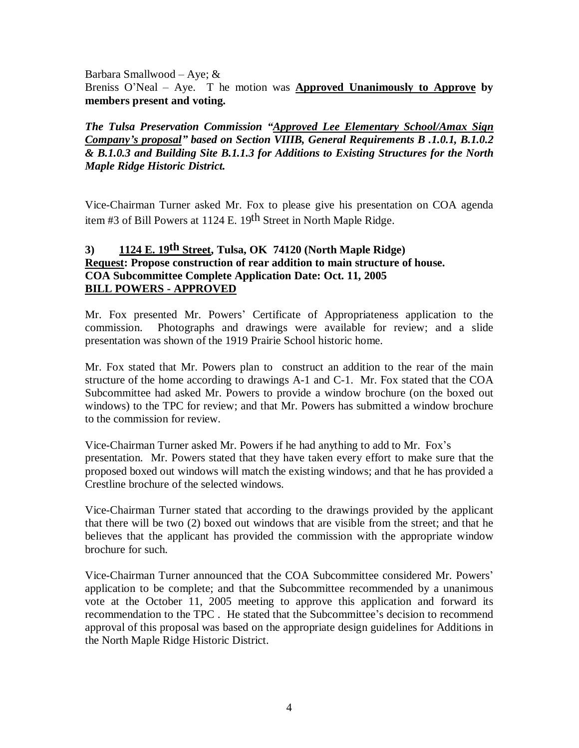Barbara Smallwood – Aye; &

Breniss O'Neal – Aye. T he motion was **Approved Unanimously to Approve by members present and voting.**

*The Tulsa Preservation Commission "Approved Lee Elementary School/Amax Sign Company's proposal" based on Section VIIIB, General Requirements B .1.0.1, B.1.0.2 & B.1.0.3 and Building Site B.1.1.3 for Additions to Existing Structures for the North Maple Ridge Historic District.*

Vice-Chairman Turner asked Mr. Fox to please give his presentation on COA agenda item #3 of Bill Powers at 1124 E. 19th Street in North Maple Ridge.

### **3) 1124 E. 19th Street, Tulsa, OK 74120 (North Maple Ridge) Request: Propose construction of rear addition to main structure of house. COA Subcommittee Complete Application Date: Oct. 11, 2005 BILL POWERS - APPROVED**

Mr. Fox presented Mr. Powers' Certificate of Appropriateness application to the commission. Photographs and drawings were available for review; and a slide presentation was shown of the 1919 Prairie School historic home.

Mr. Fox stated that Mr. Powers plan to construct an addition to the rear of the main structure of the home according to drawings A-1 and C-1. Mr. Fox stated that the COA Subcommittee had asked Mr. Powers to provide a window brochure (on the boxed out windows) to the TPC for review; and that Mr. Powers has submitted a window brochure to the commission for review.

Vice-Chairman Turner asked Mr. Powers if he had anything to add to Mr. Fox's presentation. Mr. Powers stated that they have taken every effort to make sure that the proposed boxed out windows will match the existing windows; and that he has provided a Crestline brochure of the selected windows.

Vice-Chairman Turner stated that according to the drawings provided by the applicant that there will be two (2) boxed out windows that are visible from the street; and that he believes that the applicant has provided the commission with the appropriate window brochure for such.

Vice-Chairman Turner announced that the COA Subcommittee considered Mr. Powers' application to be complete; and that the Subcommittee recommended by a unanimous vote at the October 11, 2005 meeting to approve this application and forward its recommendation to the TPC . He stated that the Subcommittee's decision to recommend approval of this proposal was based on the appropriate design guidelines for Additions in the North Maple Ridge Historic District.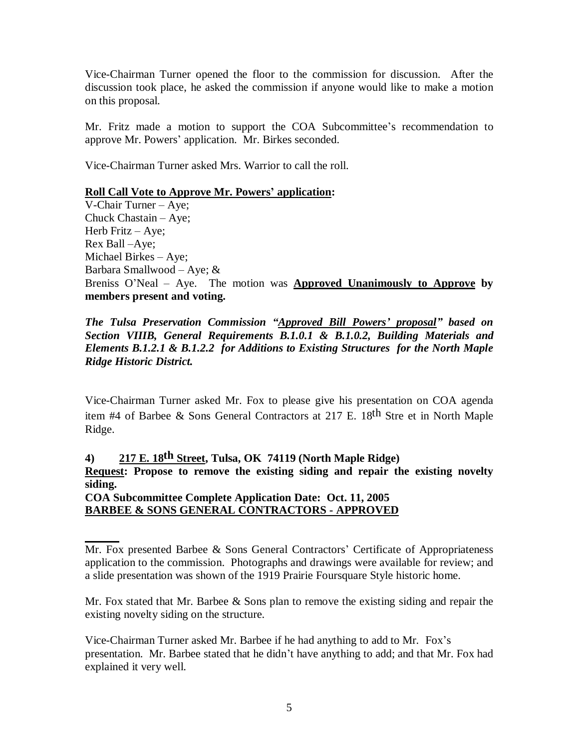Vice-Chairman Turner opened the floor to the commission for discussion. After the discussion took place, he asked the commission if anyone would like to make a motion on this proposal.

Mr. Fritz made a motion to support the COA Subcommittee's recommendation to approve Mr. Powers' application. Mr. Birkes seconded.

Vice-Chairman Turner asked Mrs. Warrior to call the roll.

### **Roll Call Vote to Approve Mr. Powers' application:**

V-Chair Turner – Aye; Chuck Chastain – Aye; Herb Fritz – Aye; Rex Ball –Aye; Michael Birkes – Aye; Barbara Smallwood – Aye; & Breniss O'Neal – Aye. The motion was **Approved Unanimously to Approve by members present and voting.**

*The Tulsa Preservation Commission "Approved Bill Powers' proposal" based on Section VIIIB, General Requirements B.1.0.1 & B.1.0.2, Building Materials and Elements B.1.2.1 & B.1.2.2 for Additions to Existing Structures for the North Maple Ridge Historic District.*

Vice-Chairman Turner asked Mr. Fox to please give his presentation on COA agenda item #4 of Barbee & Sons General Contractors at 217 E. 18th Stre et in North Maple Ridge.

**4) 217 E. 18th Street, Tulsa, OK 74119 (North Maple Ridge)**

**Request: Propose to remove the existing siding and repair the existing novelty siding.**

**COA Subcommittee Complete Application Date: Oct. 11, 2005 BARBEE & SONS GENERAL CONTRACTORS - APPROVED**

Mr. Fox stated that Mr. Barbee  $\&$  Sons plan to remove the existing siding and repair the existing novelty siding on the structure.

Vice-Chairman Turner asked Mr. Barbee if he had anything to add to Mr. Fox's presentation. Mr. Barbee stated that he didn't have anything to add; and that Mr. Fox had explained it very well.

Mr. Fox presented Barbee & Sons General Contractors' Certificate of Appropriateness application to the commission. Photographs and drawings were available for review; and a slide presentation was shown of the 1919 Prairie Foursquare Style historic home.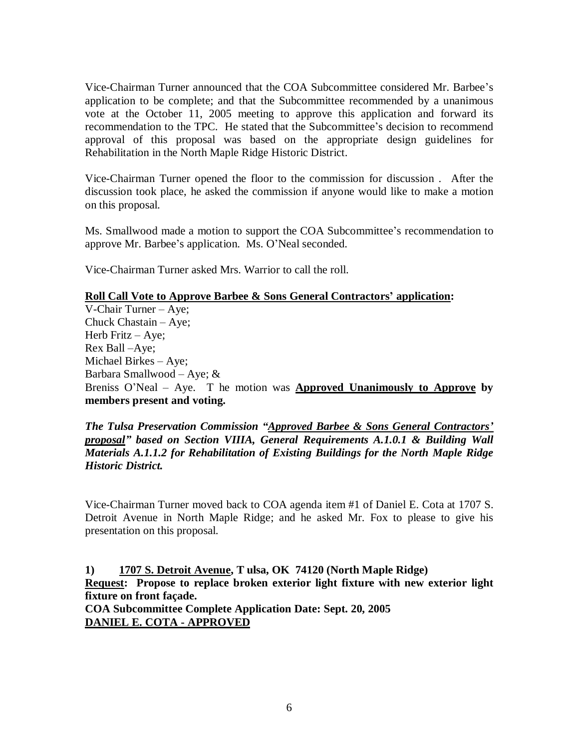Vice-Chairman Turner announced that the COA Subcommittee considered Mr. Barbee's application to be complete; and that the Subcommittee recommended by a unanimous vote at the October 11, 2005 meeting to approve this application and forward its recommendation to the TPC. He stated that the Subcommittee's decision to recommend approval of this proposal was based on the appropriate design guidelines for Rehabilitation in the North Maple Ridge Historic District.

Vice-Chairman Turner opened the floor to the commission for discussion . After the discussion took place, he asked the commission if anyone would like to make a motion on this proposal.

Ms. Smallwood made a motion to support the COA Subcommittee's recommendation to approve Mr. Barbee's application. Ms. O'Neal seconded.

Vice-Chairman Turner asked Mrs. Warrior to call the roll.

### **Roll Call Vote to Approve Barbee & Sons General Contractors' application:**

V-Chair Turner – Aye; Chuck Chastain – Aye; Herb Fritz – Aye; Rex Ball –Aye; Michael Birkes – Aye; Barbara Smallwood – Aye; & Breniss O'Neal – Aye. T he motion was **Approved Unanimously to Approve by members present and voting.**

*The Tulsa Preservation Commission "Approved Barbee & Sons General Contractors' proposal" based on Section VIIIA, General Requirements A.1.0.1 & Building Wall Materials A.1.1.2 for Rehabilitation of Existing Buildings for the North Maple Ridge Historic District.*

Vice-Chairman Turner moved back to COA agenda item #1 of Daniel E. Cota at 1707 S. Detroit Avenue in North Maple Ridge; and he asked Mr. Fox to please to give his presentation on this proposal.

**1) 1707 S. Detroit Avenue, T ulsa, OK 74120 (North Maple Ridge) Request: Propose to replace broken exterior light fixture with new exterior light fixture on front façade. COA Subcommittee Complete Application Date: Sept. 20, 2005**

**DANIEL E. COTA - APPROVED**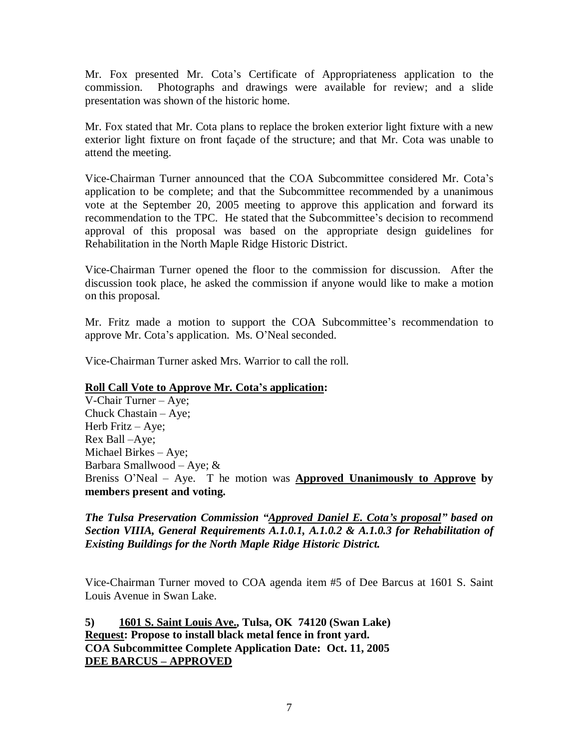Mr. Fox presented Mr. Cota's Certificate of Appropriateness application to the commission. Photographs and drawings were available for review; and a slide presentation was shown of the historic home.

Mr. Fox stated that Mr. Cota plans to replace the broken exterior light fixture with a new exterior light fixture on front façade of the structure; and that Mr. Cota was unable to attend the meeting.

Vice-Chairman Turner announced that the COA Subcommittee considered Mr. Cota's application to be complete; and that the Subcommittee recommended by a unanimous vote at the September 20, 2005 meeting to approve this application and forward its recommendation to the TPC. He stated that the Subcommittee's decision to recommend approval of this proposal was based on the appropriate design guidelines for Rehabilitation in the North Maple Ridge Historic District.

Vice-Chairman Turner opened the floor to the commission for discussion. After the discussion took place, he asked the commission if anyone would like to make a motion on this proposal.

Mr. Fritz made a motion to support the COA Subcommittee's recommendation to approve Mr. Cota's application. Ms. O'Neal seconded.

Vice-Chairman Turner asked Mrs. Warrior to call the roll.

### **Roll Call Vote to Approve Mr. Cota's application:**

V-Chair Turner – Aye; Chuck Chastain – Aye; Herb Fritz – Aye; Rex Ball –Aye; Michael Birkes – Aye; Barbara Smallwood – Aye; & Breniss O'Neal – Aye. T he motion was **Approved Unanimously to Approve by members present and voting.**

*The Tulsa Preservation Commission "Approved Daniel E. Cota's proposal" based on Section VIIIA, General Requirements A.1.0.1, A.1.0.2 & A.1.0.3 for Rehabilitation of Existing Buildings for the North Maple Ridge Historic District.*

Vice-Chairman Turner moved to COA agenda item #5 of Dee Barcus at 1601 S. Saint Louis Avenue in Swan Lake.

**5) 1601 S. Saint Louis Ave., Tulsa, OK 74120 (Swan Lake) Request: Propose to install black metal fence in front yard. COA Subcommittee Complete Application Date: Oct. 11, 2005 DEE BARCUS – APPROVED**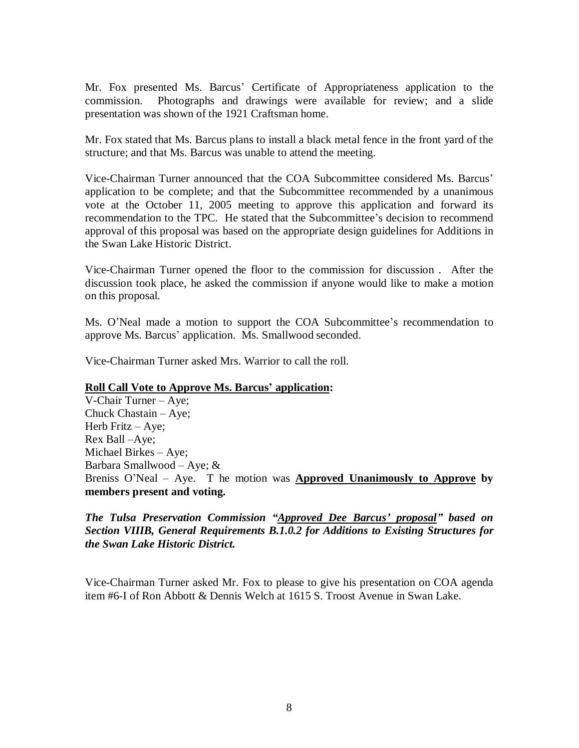Mr. Fox presented Ms. Barcus' Certificate of Appropriateness application to the commission. Photographs and drawings were available for review; and a slide presentation was shown of the 1921 Craftsman home.

Mr. Fox stated that Ms. Barcus plans to install a black metal fence in the front yard of the structure; and that Ms. Barcus was unable to attend the meeting.

Vice-Chairman Turner announced that the COA Subcommittee considered Ms. Barcus' application to be complete; and that the Subcommittee recommended by a unanimous vote at the October 11, 2005 meeting to approve this application and forward its recommendation to the TPC. He stated that the Subcommittee's decision to recommend approval of this proposal was based on the appropriate design guidelines for Additions in the Swan Lake Historic District.

Vice-Chairman Turner opened the floor to the commission for discussion . After the discussion took place, he asked the commission if anyone would like to make a motion on this proposal.

Ms. O'Neal made a motion to support the COA Subcommittee's recommendation to approve Ms. Barcus' application. Ms. Smallwood seconded.

Vice-Chairman Turner asked Mrs. Warrior to call the roll.

### **Roll Call Vote to Approve Ms. Barcus' application:**

V-Chair Turner – Aye; Chuck Chastain – Aye; Herb Fritz – Aye; Rex Ball –Aye; Michael Birkes – Aye; Barbara Smallwood – Aye; & Breniss O'Neal – Aye. T he motion was **Approved Unanimously to Approve by members present and voting.**

*The Tulsa Preservation Commission "Approved Dee Barcus'proposal" based on Section VIIIB, General Requirements B.1.0.2 for Additions to Existing Structures for the Swan Lake Historic District.*

Vice-Chairman Turner asked Mr. Fox to please to give his presentation on COA agenda item #6-I of Ron Abbott & Dennis Welch at 1615 S. Troost Avenue in Swan Lake.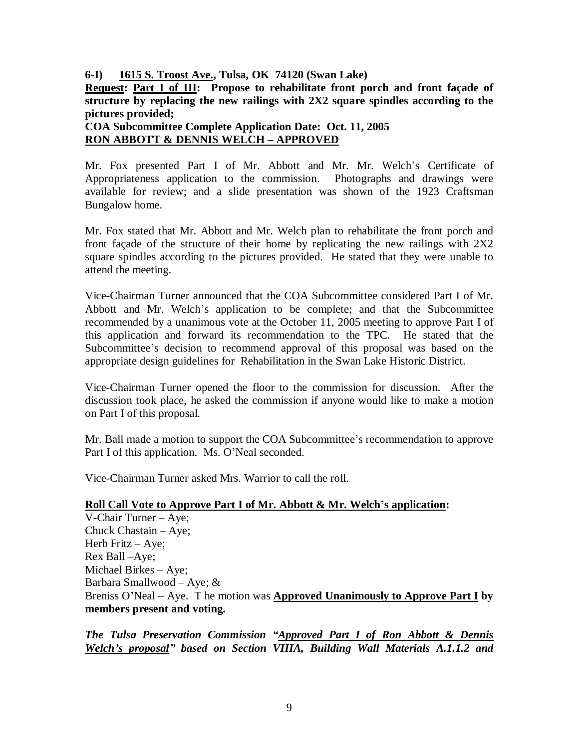**6-I) 1615 S. Troost Ave., Tulsa, OK 74120 (Swan Lake)**

**Request: Part I of III: Propose to rehabilitate front porch and front façade of structure by replacing the new railings with 2X2 square spindles according to the pictures provided;** 

**COA Subcommittee Complete Application Date: Oct. 11, 2005 RON ABBOTT & DENNIS WELCH – APPROVED**

Mr. Fox presented Part I of Mr. Abbott and Mr. Mr. Welch's Certificate of Appropriateness application to the commission. Photographs and drawings were available for review; and a slide presentation was shown of the 1923 Craftsman Bungalow home.

Mr. Fox stated that Mr. Abbott and Mr. Welch plan to rehabilitate the front porch and front façade of the structure of their home by replicating the new railings with 2X2 square spindles according to the pictures provided. He stated that they were unable to attend the meeting.

Vice-Chairman Turner announced that the COA Subcommittee considered Part I of Mr. Abbott and Mr. Welch's application to be complete; and that the Subcommittee recommended by a unanimous vote at the October 11, 2005 meeting to approve Part I of this application and forward its recommendation to the TPC. He stated that the Subcommittee's decision to recommend approval of this proposal was based on the appropriate design guidelines for Rehabilitation in the Swan Lake Historic District.

Vice-Chairman Turner opened the floor to the commission for discussion. After the discussion took place, he asked the commission if anyone would like to make a motion on Part I of this proposal.

Mr. Ball made a motion to support the COA Subcommittee's recommendation to approve Part I of this application. Ms. O'Neal seconded.

Vice-Chairman Turner asked Mrs. Warrior to call the roll.

### **Roll Call Vote to Approve Part I of Mr. Abbott & Mr. Welch's application:**

V-Chair Turner – Aye; Chuck Chastain – Aye; Herb Fritz – Aye; Rex Ball –Aye; Michael Birkes – Aye; Barbara Smallwood – Aye; & Breniss O'Neal – Aye. T he motion was **Approved Unanimously to Approve Part I by members present and voting.**

*The Tulsa Preservation Commission "Approved Part I of Ron Abbott & Dennis Welch's proposal" based on Section VIIIA, Building Wall Materials A.1.1.2 and*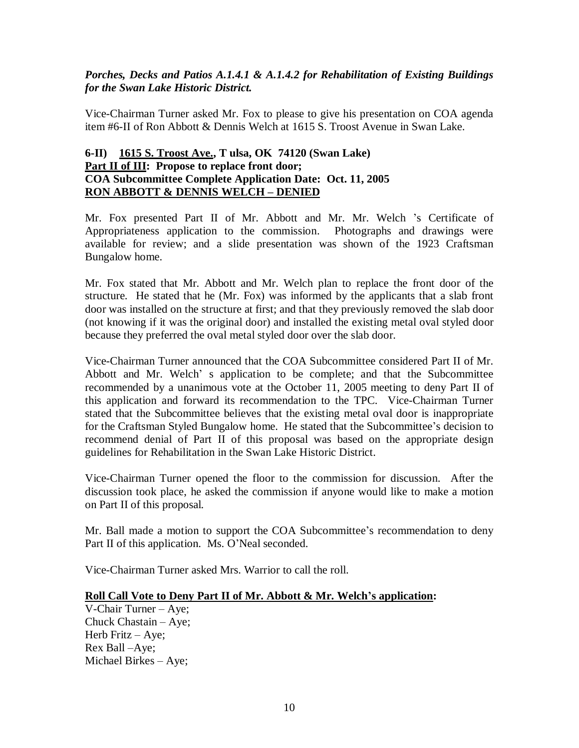### *Porches, Decks and Patios A.1.4.1 & A.1.4.2 for Rehabilitation of Existing Buildings for the Swan Lake Historic District.*

Vice-Chairman Turner asked Mr. Fox to please to give his presentation on COA agenda item #6-II of Ron Abbott & Dennis Welch at 1615 S. Troost Avenue in Swan Lake.

### **6-II) 1615 S. Troost Ave., T ulsa, OK 74120 (Swan Lake) Part II of III: Propose to replace front door; COA Subcommittee Complete Application Date: Oct. 11, 2005 RON ABBOTT & DENNIS WELCH – DENIED**

Mr. Fox presented Part II of Mr. Abbott and Mr. Mr. Welch 's Certificate of Appropriateness application to the commission. Photographs and drawings were available for review; and a slide presentation was shown of the 1923 Craftsman Bungalow home.

Mr. Fox stated that Mr. Abbott and Mr. Welch plan to replace the front door of the structure. He stated that he (Mr. Fox) was informed by the applicants that a slab front door was installed on the structure at first; and that they previously removed the slab door (not knowing if it was the original door) and installed the existing metal oval styled door because they preferred the oval metal styled door over the slab door.

Vice-Chairman Turner announced that the COA Subcommittee considered Part II of Mr. Abbott and Mr. Welch' s application to be complete; and that the Subcommittee recommended by a unanimous vote at the October 11, 2005 meeting to deny Part II of this application and forward its recommendation to the TPC. Vice-Chairman Turner stated that the Subcommittee believes that the existing metal oval door is inappropriate for the Craftsman Styled Bungalow home. He stated that the Subcommittee's decision to recommend denial of Part II of this proposal was based on the appropriate design guidelines for Rehabilitation in the Swan Lake Historic District.

Vice-Chairman Turner opened the floor to the commission for discussion. After the discussion took place, he asked the commission if anyone would like to make a motion on Part II of this proposal.

Mr. Ball made a motion to support the COA Subcommittee's recommendation to deny Part II of this application. Ms. O'Neal seconded.

Vice-Chairman Turner asked Mrs. Warrior to call the roll.

### **Roll Call Vote to Deny Part II of Mr. Abbott & Mr. Welch's application:**

V-Chair Turner – Aye; Chuck Chastain – Aye; Herb Fritz – Aye; Rex Ball –Aye; Michael Birkes – Aye;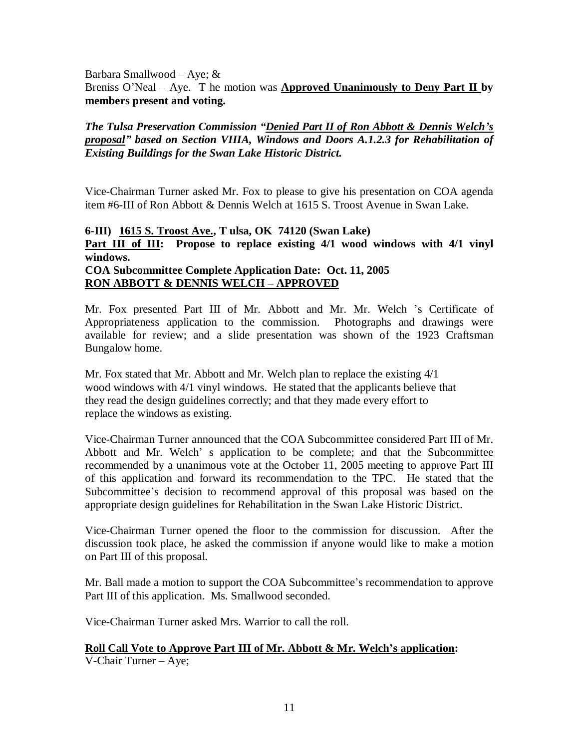Barbara Smallwood – Aye; & Breniss O'Neal – Aye. T he motion was **Approved Unanimously to Deny Part II by members present and voting.**

### *The Tulsa Preservation Commission "Denied Part II of Ron Abbott & Dennis Welch's proposal" based on Section VIIIA, Windows and Doors A.1.2.3 for Rehabilitation of Existing Buildings for the Swan Lake Historic District.*

Vice-Chairman Turner asked Mr. Fox to please to give his presentation on COA agenda item #6-III of Ron Abbott & Dennis Welch at 1615 S. Troost Avenue in Swan Lake.

## **6-III) 1615 S. Troost Ave., T ulsa, OK 74120 (Swan Lake) Part III of III:** Propose to replace existing 4/1 wood windows with 4/1 vinyl **windows. COA Subcommittee Complete Application Date: Oct. 11, 2005**

# **RON ABBOTT & DENNIS WELCH – APPROVED**

Mr. Fox presented Part III of Mr. Abbott and Mr. Mr. Welch 's Certificate of Appropriateness application to the commission. Photographs and drawings were available for review; and a slide presentation was shown of the 1923 Craftsman Bungalow home.

Mr. Fox stated that Mr. Abbott and Mr. Welch plan to replace the existing 4/1 wood windows with 4/1 vinyl windows. He stated that the applicants believe that they read the design guidelines correctly; and that they made every effort to replace the windows as existing.

Vice-Chairman Turner announced that the COA Subcommittee considered Part III of Mr. Abbott and Mr. Welch' s application to be complete; and that the Subcommittee recommended by a unanimous vote at the October 11, 2005 meeting to approve Part III of this application and forward its recommendation to the TPC. He stated that the Subcommittee's decision to recommend approval of this proposal was based on the appropriate design guidelines for Rehabilitation in the Swan Lake Historic District.

Vice-Chairman Turner opened the floor to the commission for discussion. After the discussion took place, he asked the commission if anyone would like to make a motion on Part III of this proposal.

Mr. Ball made a motion to support the COA Subcommittee's recommendation to approve Part III of this application. Ms. Smallwood seconded.

Vice-Chairman Turner asked Mrs. Warrior to call the roll.

# **Roll Call Vote to Approve Part III of Mr. Abbott & Mr. Welch's application:**

V-Chair Turner – Aye;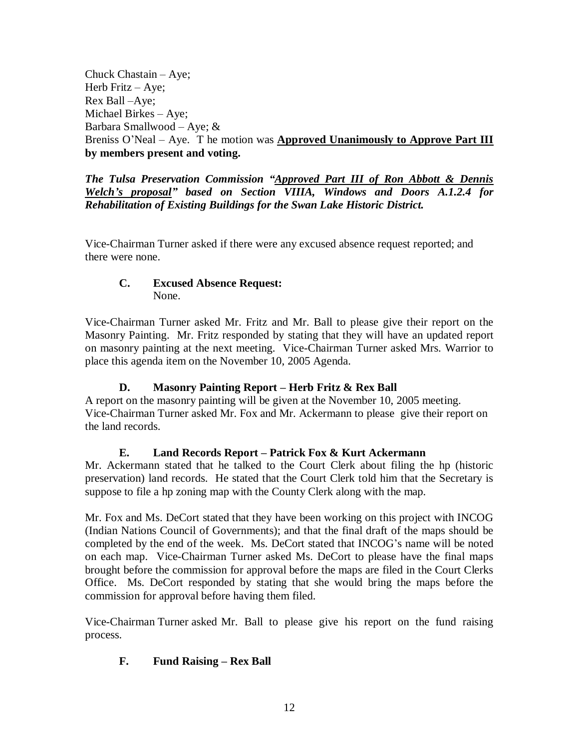Chuck Chastain – Aye; Herb Fritz  $-$  Aye; Rex Ball –Aye; Michael Birkes – Aye; Barbara Smallwood – Aye; & Breniss O'Neal – Aye. T he motion was **Approved Unanimously to Approve Part III by members present and voting.**

*The Tulsa Preservation Commission "Approved Part III of Ron Abbott & Dennis Welch's proposal" based on Section VIIIA, Windows and Doors A.1.2.4 for Rehabilitation of Existing Buildings for the Swan Lake Historic District.*

Vice-Chairman Turner asked if there were any excused absence request reported; and there were none.

### **C. Excused Absence Request:** None.

Vice-Chairman Turner asked Mr. Fritz and Mr. Ball to please give their report on the Masonry Painting. Mr. Fritz responded by stating that they will have an updated report on masonry painting at the next meeting. Vice-Chairman Turner asked Mrs. Warrior to place this agenda item on the November 10, 2005 Agenda.

## **D. Masonry Painting Report – Herb Fritz & Rex Ball**

A report on the masonry painting will be given at the November 10, 2005 meeting. Vice-Chairman Turner asked Mr. Fox and Mr. Ackermann to please give their report on the land records.

# **E. Land Records Report – Patrick Fox & Kurt Ackermann**

Mr. Ackermann stated that he talked to the Court Clerk about filing the hp (historic preservation) land records. He stated that the Court Clerk told him that the Secretary is suppose to file a hp zoning map with the County Clerk along with the map.

Mr. Fox and Ms. DeCort stated that they have been working on this project with INCOG (Indian Nations Council of Governments); and that the final draft of the maps should be completed by the end of the week. Ms. DeCort stated that INCOG's name will be noted on each map. Vice-Chairman Turner asked Ms. DeCort to please have the final maps brought before the commission for approval before the maps are filed in the Court Clerks Office. Ms. DeCort responded by stating that she would bring the maps before the commission for approval before having them filed.

Vice-Chairman Turner asked Mr. Ball to please give his report on the fund raising process.

# **F. Fund Raising – Rex Ball**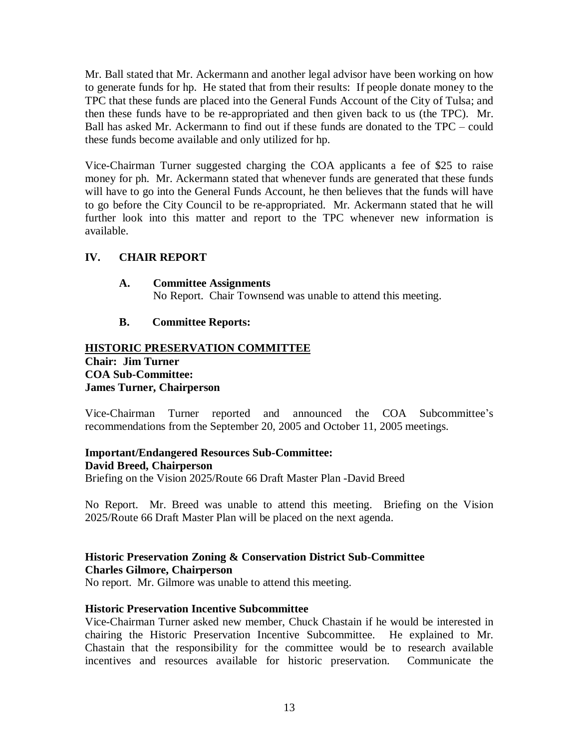Mr. Ball stated that Mr. Ackermann and another legal advisor have been working on how to generate funds for hp. He stated that from their results: If people donate money to the TPC that these funds are placed into the General Funds Account of the City of Tulsa; and then these funds have to be re-appropriated and then given back to us (the TPC). Mr. Ball has asked Mr. Ackermann to find out if these funds are donated to the TPC – could these funds become available and only utilized for hp.

Vice-Chairman Turner suggested charging the COA applicants a fee of \$25 to raise money for ph. Mr. Ackermann stated that whenever funds are generated that these funds will have to go into the General Funds Account, he then believes that the funds will have to go before the City Council to be re-appropriated. Mr. Ackermann stated that he will further look into this matter and report to the TPC whenever new information is available.

### **IV. CHAIR REPORT**

### **A. Committee Assignments**

No Report. Chair Townsend was unable to attend this meeting.

### **B. Committee Reports:**

### **HISTORIC PRESERVATION COMMITTEE Chair: Jim Turner COA Sub-Committee: James Turner, Chairperson**

Vice-Chairman Turner reported and announced the COA Subcommittee's recommendations from the September 20, 2005 and October 11, 2005 meetings.

### **Important/Endangered Resources Sub-Committee: David Breed, Chairperson**

Briefing on the Vision 2025/Route 66 Draft Master Plan -David Breed

No Report. Mr. Breed was unable to attend this meeting. Briefing on the Vision 2025/Route 66 Draft Master Plan will be placed on the next agenda.

### **Historic Preservation Zoning & Conservation District Sub-Committee Charles Gilmore, Chairperson**

No report. Mr. Gilmore was unable to attend this meeting.

### **Historic Preservation Incentive Subcommittee**

Vice-Chairman Turner asked new member, Chuck Chastain if he would be interested in chairing the Historic Preservation Incentive Subcommittee. He explained to Mr. Chastain that the responsibility for the committee would be to research available incentives and resources available for historic preservation. Communicate the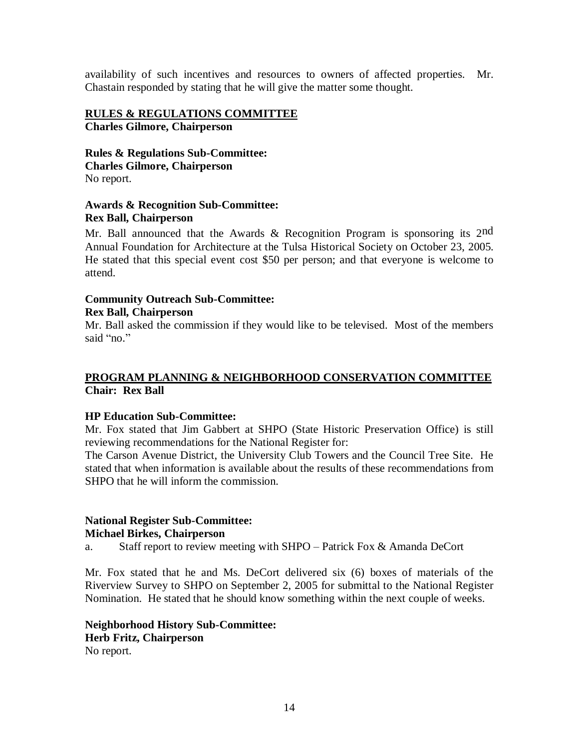availability of such incentives and resources to owners of affected properties. Mr. Chastain responded by stating that he will give the matter some thought.

### **RULES & REGULATIONS COMMITTEE Charles Gilmore, Chairperson**

**Rules & Regulations Sub-Committee: Charles Gilmore, Chairperson** No report.

### **Awards & Recognition Sub-Committee: Rex Ball, Chairperson**

Mr. Ball announced that the Awards & Recognition Program is sponsoring its 2nd Annual Foundation for Architecture at the Tulsa Historical Society on October 23, 2005. He stated that this special event cost \$50 per person; and that everyone is welcome to attend.

### **Community Outreach Sub-Committee: Rex Ball, Chairperson**

Mr. Ball asked the commission if they would like to be televised. Most of the members said "no."

### **PROGRAM PLANNING & NEIGHBORHOOD CONSERVATION COMMITTEE Chair: Rex Ball**

### **HP Education Sub-Committee:**

Mr. Fox stated that Jim Gabbert at SHPO (State Historic Preservation Office) is still reviewing recommendations for the National Register for:

The Carson Avenue District, the University Club Towers and the Council Tree Site. He stated that when information is available about the results of these recommendations from SHPO that he will inform the commission.

### **National Register Sub-Committee:**

### **Michael Birkes, Chairperson**

a. Staff report to review meeting with SHPO – Patrick Fox & Amanda DeCort

Mr. Fox stated that he and Ms. DeCort delivered six (6) boxes of materials of the Riverview Survey to SHPO on September 2, 2005 for submittal to the National Register Nomination. He stated that he should know something within the next couple of weeks.

**Neighborhood History Sub-Committee: Herb Fritz, Chairperson** No report.